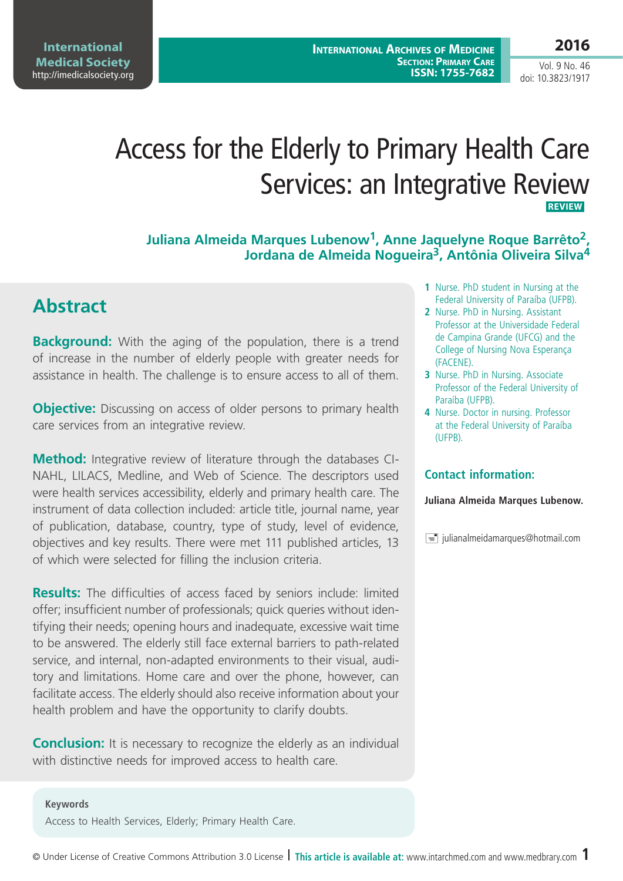# Access for the Elderly to Primary Health Care Services: an Integrative Review  **Review**

**Juliana Almeida Marques Lubenow1, Anne Jaquelyne Roque Barrêto2, Jordana de Almeida Nogueira3, Antônia Oliveira Silva4**

# **Abstract**

**Background:** With the aging of the population, there is a trend of increase in the number of elderly people with greater needs for assistance in health. The challenge is to ensure access to all of them.

**Objective:** Discussing on access of older persons to primary health care services from an integrative review.

**Method:** Integrative review of literature through the databases CI-NAHL, LILACS, Medline, and Web of Science. The descriptors used were health services accessibility, elderly and primary health care. The instrument of data collection included: article title, journal name, year of publication, database, country, type of study, level of evidence, objectives and key results. There were met 111 published articles, 13 of which were selected for filling the inclusion criteria.

**Results:** The difficulties of access faced by seniors include: limited offer; insufficient number of professionals; quick queries without identifying their needs; opening hours and inadequate, excessive wait time to be answered. The elderly still face external barriers to path-related service, and internal, non-adapted environments to their visual, auditory and limitations. Home care and over the phone, however, can facilitate access. The elderly should also receive information about your health problem and have the opportunity to clarify doubts.

**Conclusion:** It is necessary to recognize the elderly as an individual with distinctive needs for improved access to health care.

**Keywords** Access to Health Services, Elderly; Primary Health Care.

- **1** Nurse. PhD student in Nursing at the Federal University of Paraíba (UFPB).
- **2** Nurse. PhD in Nursing. Assistant Professor at the Universidade Federal de Campina Grande (UFCG) and the College of Nursing Nova Esperança (FACENE).
- **3** Nurse. PhD in Nursing. Associate Professor of the Federal University of Paraíba (UFPB).
- **4** Nurse. Doctor in nursing. Professor at the Federal University of Paraíba (UFPB).

### **Contact information:**

#### **Juliana Almeida Marques Lubenow.**

 $\equiv$  julianalmeidamarques@hotmail.com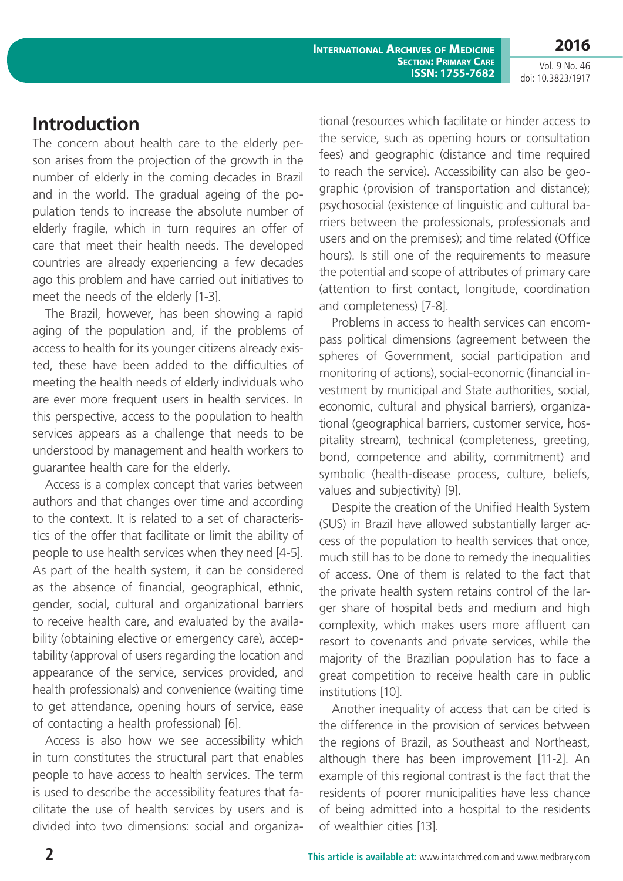**International Archives of Medicine Section: Primary Care ISSN: 1755-7682** **2016**

Vol. 9 No. 46 doi: 10.3823/1917

# **Introduction**

The concern about health care to the elderly person arises from the projection of the growth in the number of elderly in the coming decades in Brazil and in the world. The gradual ageing of the population tends to increase the absolute number of elderly fragile, which in turn requires an offer of care that meet their health needs. The developed countries are already experiencing a few decades ago this problem and have carried out initiatives to meet the needs of the elderly [1-3].

The Brazil, however, has been showing a rapid aging of the population and, if the problems of access to health for its younger citizens already existed, these have been added to the difficulties of meeting the health needs of elderly individuals who are ever more frequent users in health services. In this perspective, access to the population to health services appears as a challenge that needs to be understood by management and health workers to guarantee health care for the elderly.

Access is a complex concept that varies between authors and that changes over time and according to the context. It is related to a set of characteristics of the offer that facilitate or limit the ability of people to use health services when they need [4-5]. As part of the health system, it can be considered as the absence of financial, geographical, ethnic, gender, social, cultural and organizational barriers to receive health care, and evaluated by the availability (obtaining elective or emergency care), acceptability (approval of users regarding the location and appearance of the service, services provided, and health professionals) and convenience (waiting time to get attendance, opening hours of service, ease of contacting a health professional) [6].

Access is also how we see accessibility which in turn constitutes the structural part that enables people to have access to health services. The term is used to describe the accessibility features that facilitate the use of health services by users and is divided into two dimensions: social and organizational (resources which facilitate or hinder access to the service, such as opening hours or consultation fees) and geographic (distance and time required to reach the service). Accessibility can also be geographic (provision of transportation and distance); psychosocial (existence of linguistic and cultural barriers between the professionals, professionals and users and on the premises); and time related (Office hours). Is still one of the requirements to measure the potential and scope of attributes of primary care (attention to first contact, longitude, coordination and completeness) [7-8].

Problems in access to health services can encompass political dimensions (agreement between the spheres of Government, social participation and monitoring of actions), social-economic (financial investment by municipal and State authorities, social, economic, cultural and physical barriers), organizational (geographical barriers, customer service, hospitality stream), technical (completeness, greeting, bond, competence and ability, commitment) and symbolic (health-disease process, culture, beliefs, values and subjectivity) [9].

Despite the creation of the Unified Health System (SUS) in Brazil have allowed substantially larger access of the population to health services that once, much still has to be done to remedy the inequalities of access. One of them is related to the fact that the private health system retains control of the larger share of hospital beds and medium and high complexity, which makes users more affluent can resort to covenants and private services, while the majority of the Brazilian population has to face a great competition to receive health care in public institutions [10].

Another inequality of access that can be cited is the difference in the provision of services between the regions of Brazil, as Southeast and Northeast, although there has been improvement [11-2]. An example of this regional contrast is the fact that the residents of poorer municipalities have less chance of being admitted into a hospital to the residents of wealthier cities [13].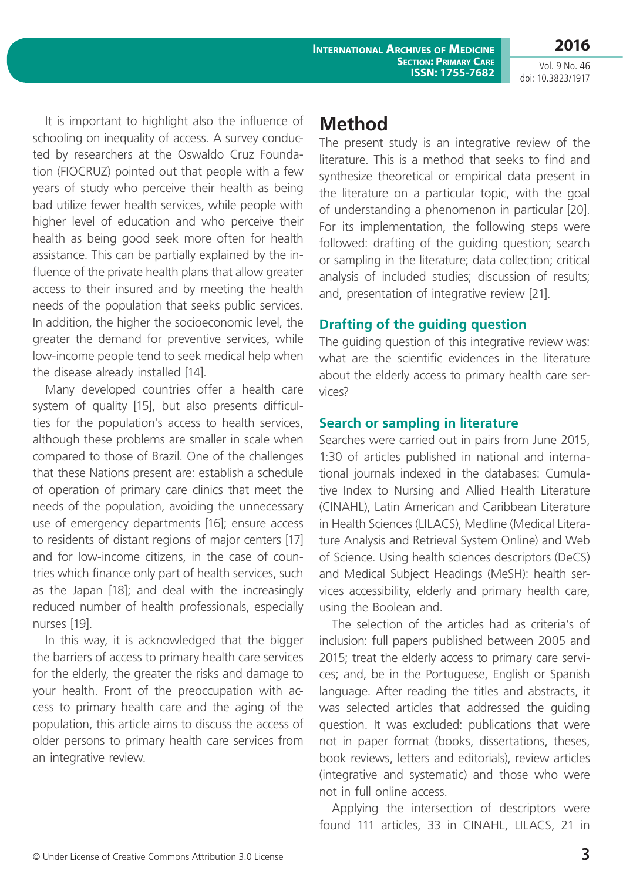**2016**

It is important to highlight also the influence of schooling on inequality of access. A survey conducted by researchers at the Oswaldo Cruz Foundation (FIOCRUZ) pointed out that people with a few years of study who perceive their health as being bad utilize fewer health services, while people with higher level of education and who perceive their health as being good seek more often for health assistance. This can be partially explained by the influence of the private health plans that allow greater access to their insured and by meeting the health needs of the population that seeks public services. In addition, the higher the socioeconomic level, the greater the demand for preventive services, while low-income people tend to seek medical help when the disease already installed [14].

Many developed countries offer a health care system of quality [15], but also presents difficulties for the population's access to health services, although these problems are smaller in scale when compared to those of Brazil. One of the challenges that these Nations present are: establish a schedule of operation of primary care clinics that meet the needs of the population, avoiding the unnecessary use of emergency departments [16]; ensure access to residents of distant regions of major centers [17] and for low-income citizens, in the case of countries which finance only part of health services, such as the Japan [18]; and deal with the increasingly reduced number of health professionals, especially nurses [19].

In this way, it is acknowledged that the bigger the barriers of access to primary health care services for the elderly, the greater the risks and damage to your health. Front of the preoccupation with access to primary health care and the aging of the population, this article aims to discuss the access of older persons to primary health care services from an integrative review.

# **Method**

The present study is an integrative review of the literature. This is a method that seeks to find and synthesize theoretical or empirical data present in the literature on a particular topic, with the goal of understanding a phenomenon in particular [20]. For its implementation, the following steps were followed: drafting of the guiding question; search or sampling in the literature; data collection; critical analysis of included studies; discussion of results; and, presentation of integrative review [21].

## **Drafting of the guiding question**

The guiding question of this integrative review was: what are the scientific evidences in the literature about the elderly access to primary health care services?

## **Search or sampling in literature**

Searches were carried out in pairs from June 2015, 1:30 of articles published in national and international journals indexed in the databases: Cumulative Index to Nursing and Allied Health Literature (CINAHL), Latin American and Caribbean Literature in Health Sciences (LILACS), Medline (Medical Literature Analysis and Retrieval System Online) and Web of Science. Using health sciences descriptors (DeCS) and Medical Subject Headings (MeSH): health services accessibility, elderly and primary health care, using the Boolean and.

The selection of the articles had as criteria's of inclusion: full papers published between 2005 and 2015; treat the elderly access to primary care services; and, be in the Portuguese, English or Spanish language. After reading the titles and abstracts, it was selected articles that addressed the guiding question. It was excluded: publications that were not in paper format (books, dissertations, theses, book reviews, letters and editorials), review articles (integrative and systematic) and those who were not in full online access.

Applying the intersection of descriptors were found 111 articles, 33 in CINAHL, LILACS, 21 in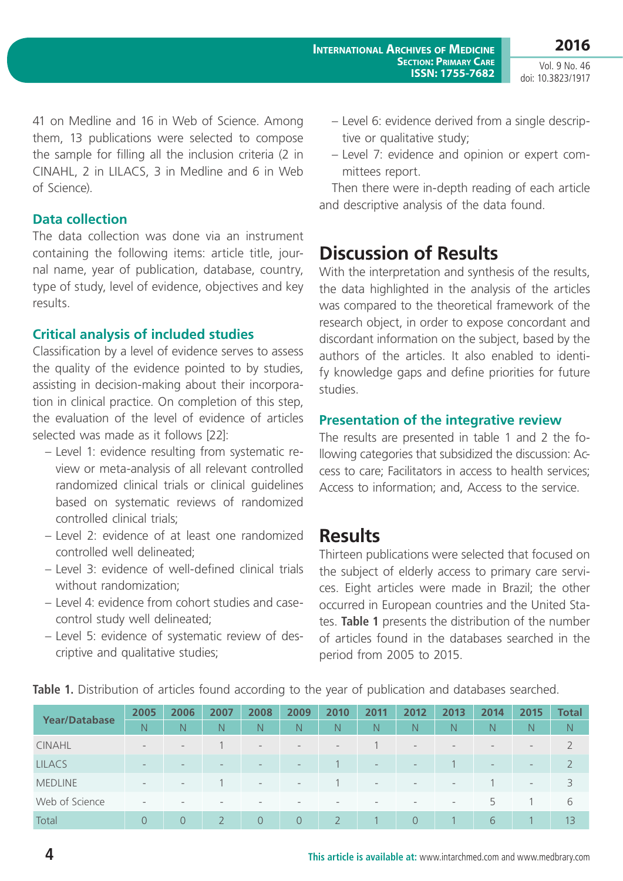41 on Medline and 16 in Web of Science. Among them, 13 publications were selected to compose the sample for filling all the inclusion criteria (2 in CINAHL, 2 in LILACS, 3 in Medline and 6 in Web of Science).

### **Data collection**

The data collection was done via an instrument containing the following items: article title, journal name, year of publication, database, country, type of study, level of evidence, objectives and key results.

## **Critical analysis of included studies**

Classification by a level of evidence serves to assess the quality of the evidence pointed to by studies, assisting in decision-making about their incorporation in clinical practice. On completion of this step, the evaluation of the level of evidence of articles selected was made as it follows [22]:

- Level 1: evidence resulting from systematic review or meta-analysis of all relevant controlled randomized clinical trials or clinical guidelines based on systematic reviews of randomized controlled clinical trials;
- Level 2: evidence of at least one randomized controlled well delineated;
- Level 3: evidence of well-defined clinical trials without randomization;
- Level 4: evidence from cohort studies and casecontrol study well delineated;
- Level 5: evidence of systematic review of descriptive and qualitative studies;
- Level 6: evidence derived from a single descriptive or qualitative study;
- Level 7: evidence and opinion or expert committees report.

Then there were in-depth reading of each article and descriptive analysis of the data found.

# **Discussion of Results**

With the interpretation and synthesis of the results, the data highlighted in the analysis of the articles was compared to the theoretical framework of the research object, in order to expose concordant and discordant information on the subject, based by the authors of the articles. It also enabled to identify knowledge gaps and define priorities for future studies.

## **Presentation of the integrative review**

The results are presented in table 1 and 2 the following categories that subsidized the discussion: Access to care; Facilitators in access to health services; Access to information; and, Access to the service.

# **Results**

Thirteen publications were selected that focused on the subject of elderly access to primary care services. Eight articles were made in Brazil; the other occurred in European countries and the United States. **Table 1** presents the distribution of the number of articles found in the databases searched in the period from 2005 to 2015.

| <b>Year/Database</b> | 2005                     | 2006                     | 2007                     | 2008                     | 2009                     | 2010              | 2011                     | 2012                     | 2013                     | 2014                     | 2015                     | Total          |
|----------------------|--------------------------|--------------------------|--------------------------|--------------------------|--------------------------|-------------------|--------------------------|--------------------------|--------------------------|--------------------------|--------------------------|----------------|
|                      | N                        | N                        | N                        | $\mathsf{N}$             | $\mathbb N$              | $\mathbb N$       | N                        | N.                       | N.                       | N                        | N                        | N.             |
| <b>CINAHL</b>        | $\overline{\phantom{a}}$ | $\qquad \qquad -$        |                          | $\overline{\phantom{a}}$ | $\overline{\phantom{a}}$ | $\qquad \qquad -$ |                          | $\overline{\phantom{a}}$ | $\qquad \qquad -$        | $\overline{\phantom{a}}$ | $\qquad \qquad -$        |                |
| <b>LILACS</b>        | $\overline{\phantom{a}}$ | $\overline{\phantom{0}}$ | $\overline{\phantom{0}}$ | $\overline{\phantom{a}}$ | $\overline{\phantom{m}}$ |                   | $\overline{\phantom{0}}$ | $\overline{\phantom{a}}$ |                          | $\overline{\phantom{a}}$ | $\overline{\phantom{a}}$ | $\mathcal{L}$  |
| <b>MEDLINE</b>       | $-$                      | $\qquad \qquad -$        |                          | $\overline{\phantom{a}}$ | $\overline{\phantom{a}}$ |                   | $\overline{\phantom{a}}$ | $\overline{\phantom{a}}$ | $\overline{\phantom{a}}$ |                          | $\frac{1}{2}$            | 3              |
| Web of Science       | $\overline{\phantom{a}}$ |                          | $\overline{\phantom{a}}$ | $\overline{\phantom{a}}$ | $\,$                     |                   |                          | $\qquad \qquad -$        | $\overline{\phantom{a}}$ | 5                        |                          | 6              |
| Total                | $\Omega$                 | $\overline{O}$           |                          | $\Omega$                 | $\Omega$                 |                   |                          | $\Omega$                 |                          | 6                        |                          | 1 <sub>3</sub> |

**Table 1.** Distribution of articles found according to the year of publication and databases searched.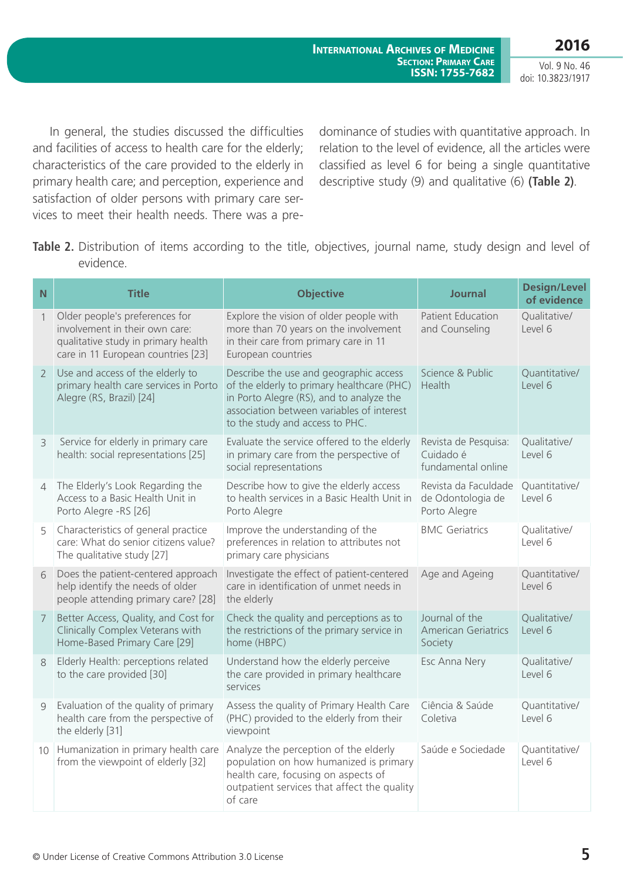**2016**

Vol. 9 No. 46 doi: 10.3823/1917

 In general, the studies discussed the difficulties and facilities of access to health care for the elderly; characteristics of the care provided to the elderly in primary health care; and perception, experience and satisfaction of older persons with primary care services to meet their health needs. There was a predominance of studies with quantitative approach. In relation to the level of evidence, all the articles were classified as level 6 for being a single quantitative descriptive study (9) and qualitative (6) **(Table 2)**.

**Table 2.** Distribution of items according to the title, objectives, journal name, study design and level of evidence.

| N              | <b>Title</b>                                                                                                                                  | <b>Objective</b>                                                                                                                                                                                                 | <b>Journal</b>                                            | <b>Design/Level</b><br>of evidence |
|----------------|-----------------------------------------------------------------------------------------------------------------------------------------------|------------------------------------------------------------------------------------------------------------------------------------------------------------------------------------------------------------------|-----------------------------------------------------------|------------------------------------|
| $\mathbf{1}$   | Older people's preferences for<br>involvement in their own care:<br>qualitative study in primary health<br>care in 11 European countries [23] | Explore the vision of older people with<br>more than 70 years on the involvement<br>in their care from primary care in 11<br>European countries                                                                  | <b>Patient Education</b><br>and Counseling                | Qualitative/<br>Level 6            |
| $\overline{2}$ | Use and access of the elderly to<br>primary health care services in Porto<br>Alegre (RS, Brazil) [24]                                         | Describe the use and geographic access<br>of the elderly to primary healthcare (PHC)<br>in Porto Alegre (RS), and to analyze the<br>association between variables of interest<br>to the study and access to PHC. | Science & Public<br>Health                                | Quantitative/<br>Level 6           |
| $\overline{3}$ | Service for elderly in primary care<br>health: social representations [25]                                                                    | Evaluate the service offered to the elderly<br>in primary care from the perspective of<br>social representations                                                                                                 | Revista de Pesquisa:<br>Cuidado é<br>fundamental online   | Qualitative/<br>Level 6            |
| $\overline{4}$ | The Elderly's Look Regarding the<br>Access to a Basic Health Unit in<br>Porto Alegre -RS [26]                                                 | Describe how to give the elderly access<br>to health services in a Basic Health Unit in<br>Porto Alegre                                                                                                          | Revista da Faculdade<br>de Odontologia de<br>Porto Alegre | Quantitative/<br>Level 6           |
| 5              | Characteristics of general practice<br>care: What do senior citizens value?<br>The qualitative study [27]                                     | Improve the understanding of the<br>preferences in relation to attributes not<br>primary care physicians                                                                                                         | <b>BMC Geriatrics</b>                                     | Qualitative/<br>Level 6            |
| 6              | Does the patient-centered approach<br>help identify the needs of older<br>people attending primary care? [28]                                 | Investigate the effect of patient-centered<br>care in identification of unmet needs in<br>the elderly                                                                                                            | Age and Ageing                                            | Quantitative/<br>Level 6           |
| $\overline{7}$ | Better Access, Quality, and Cost for<br>Clinically Complex Veterans with<br>Home-Based Primary Care [29]                                      | Check the quality and perceptions as to<br>the restrictions of the primary service in<br>home (HBPC)                                                                                                             | Journal of the<br><b>American Geriatrics</b><br>Society   | Qualitative/<br>Level 6            |
| 8              | Elderly Health: perceptions related<br>to the care provided [30]                                                                              | Understand how the elderly perceive<br>the care provided in primary healthcare<br>services                                                                                                                       | Esc Anna Nery                                             | Qualitative/<br>Level 6            |
| 9              | Evaluation of the quality of primary<br>health care from the perspective of<br>the elderly [31]                                               | Assess the quality of Primary Health Care<br>(PHC) provided to the elderly from their<br>viewpoint                                                                                                               | Ciência & Saúde<br>Coletiva                               | Quantitative/<br>Level 6           |
| 10             | Humanization in primary health care<br>from the viewpoint of elderly [32]                                                                     | Analyze the perception of the elderly<br>population on how humanized is primary<br>health care, focusing on aspects of<br>outpatient services that affect the quality<br>of care                                 |                                                           | Quantitative/<br>Level 6           |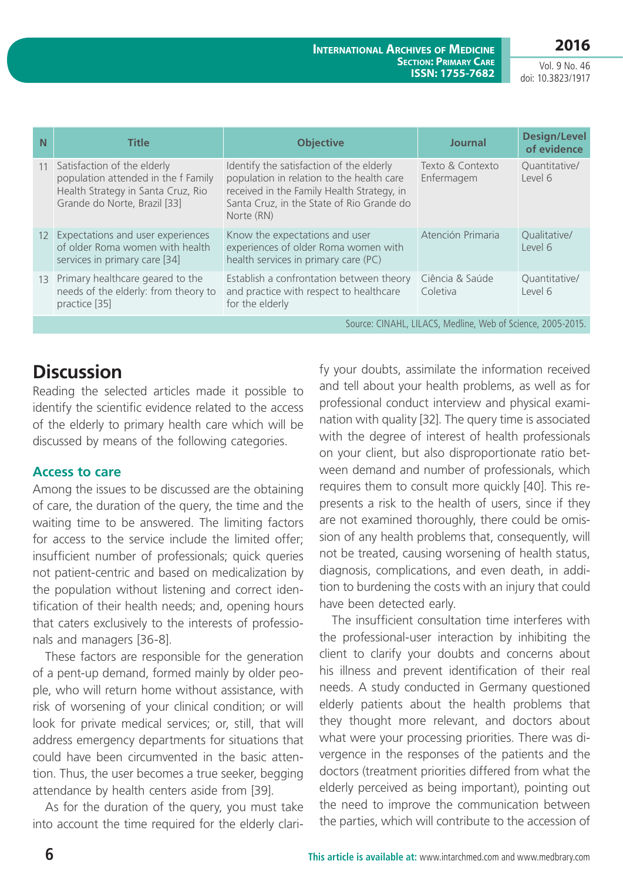# **2016**

**International Archives of Medicine Section: Primary Care ISSN: 1755-7682**

Vol. 9 No. 46 doi: 10.3823/1917

| N                                                           | <b>Title</b>                                                                                                                             | <b>Objective</b>                                                                                                                                                                               | <b>Journal</b>                 | <b>Design/Level</b><br>of evidence |  |  |  |
|-------------------------------------------------------------|------------------------------------------------------------------------------------------------------------------------------------------|------------------------------------------------------------------------------------------------------------------------------------------------------------------------------------------------|--------------------------------|------------------------------------|--|--|--|
| 11                                                          | Satisfaction of the elderly<br>population attended in the f Family<br>Health Strategy in Santa Cruz, Rio<br>Grande do Norte, Brazil [33] | Identify the satisfaction of the elderly<br>population in relation to the health care<br>received in the Family Health Strategy, in<br>Santa Cruz, in the State of Rio Grande do<br>Norte (RN) | Texto & Contexto<br>Enfermagem | Quantitative/<br>Level 6           |  |  |  |
|                                                             | 12 Expectations and user experiences<br>of older Roma women with health<br>services in primary care [34]                                 | Know the expectations and user<br>experiences of older Roma women with<br>health services in primary care (PC)                                                                                 | Atención Primaria              | Qualitative/<br>Level 6            |  |  |  |
| 13                                                          | Primary healthcare geared to the<br>needs of the elderly: from theory to<br>practice [35]                                                | Establish a confrontation between theory<br>and practice with respect to healthcare<br>for the elderly                                                                                         | Ciência & Saúde<br>Coletiva    | Quantitative/<br>Level 6           |  |  |  |
| Source: CINAHL, LILACS, Medline, Web of Science, 2005-2015. |                                                                                                                                          |                                                                                                                                                                                                |                                |                                    |  |  |  |

# **Discussion**

Reading the selected articles made it possible to identify the scientific evidence related to the access of the elderly to primary health care which will be discussed by means of the following categories.

## **Access to care**

Among the issues to be discussed are the obtaining of care, the duration of the query, the time and the waiting time to be answered. The limiting factors for access to the service include the limited offer; insufficient number of professionals; quick queries not patient-centric and based on medicalization by the population without listening and correct identification of their health needs; and, opening hours that caters exclusively to the interests of professionals and managers [36-8].

These factors are responsible for the generation of a pent-up demand, formed mainly by older people, who will return home without assistance, with risk of worsening of your clinical condition; or will look for private medical services; or, still, that will address emergency departments for situations that could have been circumvented in the basic attention. Thus, the user becomes a true seeker, begging attendance by health centers aside from [39].

As for the duration of the query, you must take into account the time required for the elderly clarify your doubts, assimilate the information received and tell about your health problems, as well as for professional conduct interview and physical examination with quality [32]. The query time is associated with the degree of interest of health professionals on your client, but also disproportionate ratio between demand and number of professionals, which requires them to consult more quickly [40]. This represents a risk to the health of users, since if they are not examined thoroughly, there could be omission of any health problems that, consequently, will not be treated, causing worsening of health status, diagnosis, complications, and even death, in addition to burdening the costs with an injury that could have been detected early.

The insufficient consultation time interferes with the professional-user interaction by inhibiting the client to clarify your doubts and concerns about his illness and prevent identification of their real needs. A study conducted in Germany questioned elderly patients about the health problems that they thought more relevant, and doctors about what were your processing priorities. There was divergence in the responses of the patients and the doctors (treatment priorities differed from what the elderly perceived as being important), pointing out the need to improve the communication between the parties, which will contribute to the accession of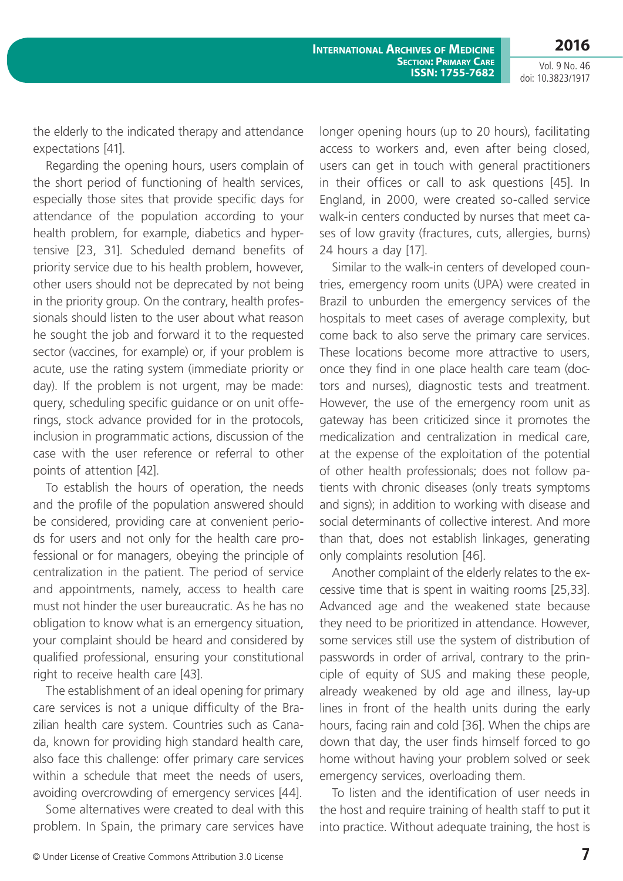**2016**

Vol. 9 No. 46 doi: 10.3823/1917

the elderly to the indicated therapy and attendance expectations [41].

Regarding the opening hours, users complain of the short period of functioning of health services, especially those sites that provide specific days for attendance of the population according to your health problem, for example, diabetics and hypertensive [23, 31]. Scheduled demand benefits of priority service due to his health problem, however, other users should not be deprecated by not being in the priority group. On the contrary, health professionals should listen to the user about what reason he sought the job and forward it to the requested sector (vaccines, for example) or, if your problem is acute, use the rating system (immediate priority or day). If the problem is not urgent, may be made: query, scheduling specific guidance or on unit offerings, stock advance provided for in the protocols, inclusion in programmatic actions, discussion of the case with the user reference or referral to other points of attention [42].

To establish the hours of operation, the needs and the profile of the population answered should be considered, providing care at convenient periods for users and not only for the health care professional or for managers, obeying the principle of centralization in the patient. The period of service and appointments, namely, access to health care must not hinder the user bureaucratic. As he has no obligation to know what is an emergency situation, your complaint should be heard and considered by qualified professional, ensuring your constitutional right to receive health care [43].

The establishment of an ideal opening for primary care services is not a unique difficulty of the Brazilian health care system. Countries such as Canada, known for providing high standard health care, also face this challenge: offer primary care services within a schedule that meet the needs of users, avoiding overcrowding of emergency services [44].

Some alternatives were created to deal with this problem. In Spain, the primary care services have longer opening hours (up to 20 hours), facilitating access to workers and, even after being closed, users can get in touch with general practitioners in their offices or call to ask questions [45]. In England, in 2000, were created so-called service walk-in centers conducted by nurses that meet cases of low gravity (fractures, cuts, allergies, burns) 24 hours a day [17].

Similar to the walk-in centers of developed countries, emergency room units (UPA) were created in Brazil to unburden the emergency services of the hospitals to meet cases of average complexity, but come back to also serve the primary care services. These locations become more attractive to users, once they find in one place health care team (doctors and nurses), diagnostic tests and treatment. However, the use of the emergency room unit as gateway has been criticized since it promotes the medicalization and centralization in medical care, at the expense of the exploitation of the potential of other health professionals; does not follow patients with chronic diseases (only treats symptoms and signs); in addition to working with disease and social determinants of collective interest. And more than that, does not establish linkages, generating only complaints resolution [46].

Another complaint of the elderly relates to the excessive time that is spent in waiting rooms [25,33]. Advanced age and the weakened state because they need to be prioritized in attendance. However, some services still use the system of distribution of passwords in order of arrival, contrary to the principle of equity of SUS and making these people, already weakened by old age and illness, lay-up lines in front of the health units during the early hours, facing rain and cold [36]. When the chips are down that day, the user finds himself forced to go home without having your problem solved or seek emergency services, overloading them.

To listen and the identification of user needs in the host and require training of health staff to put it into practice. Without adequate training, the host is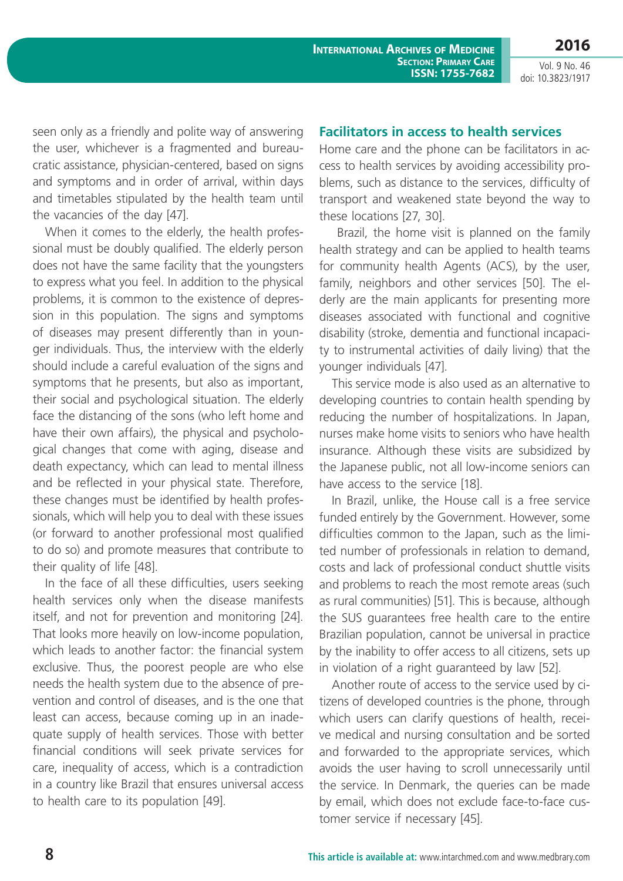**2016**

seen only as a friendly and polite way of answering the user, whichever is a fragmented and bureaucratic assistance, physician-centered, based on signs and symptoms and in order of arrival, within days and timetables stipulated by the health team until the vacancies of the day [47].

When it comes to the elderly, the health professional must be doubly qualified. The elderly person does not have the same facility that the youngsters to express what you feel. In addition to the physical problems, it is common to the existence of depression in this population. The signs and symptoms of diseases may present differently than in younger individuals. Thus, the interview with the elderly should include a careful evaluation of the signs and symptoms that he presents, but also as important, their social and psychological situation. The elderly face the distancing of the sons (who left home and have their own affairs), the physical and psychological changes that come with aging, disease and death expectancy, which can lead to mental illness and be reflected in your physical state. Therefore, these changes must be identified by health professionals, which will help you to deal with these issues (or forward to another professional most qualified to do so) and promote measures that contribute to their quality of life [48].

In the face of all these difficulties, users seeking health services only when the disease manifests itself, and not for prevention and monitoring [24]. That looks more heavily on low-income population, which leads to another factor: the financial system exclusive. Thus, the poorest people are who else needs the health system due to the absence of prevention and control of diseases, and is the one that least can access, because coming up in an inadequate supply of health services. Those with better financial conditions will seek private services for care, inequality of access, which is a contradiction in a country like Brazil that ensures universal access to health care to its population [49].

#### **Facilitators in access to health services**

Home care and the phone can be facilitators in access to health services by avoiding accessibility problems, such as distance to the services, difficulty of transport and weakened state beyond the way to these locations [27, 30].

 Brazil, the home visit is planned on the family health strategy and can be applied to health teams for community health Agents (ACS), by the user, family, neighbors and other services [50]. The elderly are the main applicants for presenting more diseases associated with functional and cognitive disability (stroke, dementia and functional incapacity to instrumental activities of daily living) that the younger individuals [47].

This service mode is also used as an alternative to developing countries to contain health spending by reducing the number of hospitalizations. In Japan, nurses make home visits to seniors who have health insurance. Although these visits are subsidized by the Japanese public, not all low-income seniors can have access to the service [18].

In Brazil, unlike, the House call is a free service funded entirely by the Government. However, some difficulties common to the Japan, such as the limited number of professionals in relation to demand, costs and lack of professional conduct shuttle visits and problems to reach the most remote areas (such as rural communities) [51]. This is because, although the SUS guarantees free health care to the entire Brazilian population, cannot be universal in practice by the inability to offer access to all citizens, sets up in violation of a right guaranteed by law [52].

Another route of access to the service used by citizens of developed countries is the phone, through which users can clarify questions of health, receive medical and nursing consultation and be sorted and forwarded to the appropriate services, which avoids the user having to scroll unnecessarily until the service. In Denmark, the queries can be made by email, which does not exclude face-to-face customer service if necessary [45].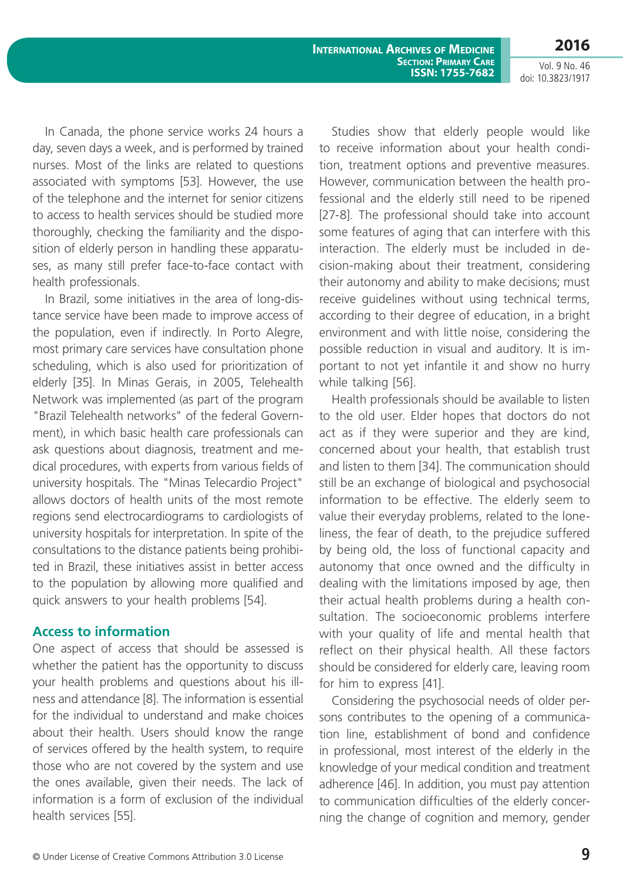**International Archives of Medicine Section: Primary Care ISSN: 1755-7682**

**2016** Vol. 9 No. 46

doi: 10.3823/1917

In Canada, the phone service works 24 hours a day, seven days a week, and is performed by trained nurses. Most of the links are related to questions associated with symptoms [53]. However, the use of the telephone and the internet for senior citizens to access to health services should be studied more thoroughly, checking the familiarity and the disposition of elderly person in handling these apparatuses, as many still prefer face-to-face contact with health professionals.

In Brazil, some initiatives in the area of long-distance service have been made to improve access of the population, even if indirectly. In Porto Alegre, most primary care services have consultation phone scheduling, which is also used for prioritization of elderly [35]. In Minas Gerais, in 2005, Telehealth Network was implemented (as part of the program "Brazil Telehealth networks" of the federal Government), in which basic health care professionals can ask questions about diagnosis, treatment and medical procedures, with experts from various fields of university hospitals. The "Minas Telecardio Project" allows doctors of health units of the most remote regions send electrocardiograms to cardiologists of university hospitals for interpretation. In spite of the consultations to the distance patients being prohibited in Brazil, these initiatives assist in better access to the population by allowing more qualified and quick answers to your health problems [54].

### **Access to information**

One aspect of access that should be assessed is whether the patient has the opportunity to discuss your health problems and questions about his illness and attendance [8]. The information is essential for the individual to understand and make choices about their health. Users should know the range of services offered by the health system, to require those who are not covered by the system and use the ones available, given their needs. The lack of information is a form of exclusion of the individual health services [55].

Studies show that elderly people would like to receive information about your health condition, treatment options and preventive measures. However, communication between the health professional and the elderly still need to be ripened [27-8]. The professional should take into account some features of aging that can interfere with this interaction. The elderly must be included in decision-making about their treatment, considering their autonomy and ability to make decisions; must receive guidelines without using technical terms, according to their degree of education, in a bright environment and with little noise, considering the possible reduction in visual and auditory. It is important to not yet infantile it and show no hurry while talking [56].

Health professionals should be available to listen to the old user. Elder hopes that doctors do not act as if they were superior and they are kind, concerned about your health, that establish trust and listen to them [34]. The communication should still be an exchange of biological and psychosocial information to be effective. The elderly seem to value their everyday problems, related to the loneliness, the fear of death, to the prejudice suffered by being old, the loss of functional capacity and autonomy that once owned and the difficulty in dealing with the limitations imposed by age, then their actual health problems during a health consultation. The socioeconomic problems interfere with your quality of life and mental health that reflect on their physical health. All these factors should be considered for elderly care, leaving room for him to express [41].

Considering the psychosocial needs of older persons contributes to the opening of a communication line, establishment of bond and confidence in professional, most interest of the elderly in the knowledge of your medical condition and treatment adherence [46]. In addition, you must pay attention to communication difficulties of the elderly concerning the change of cognition and memory, gender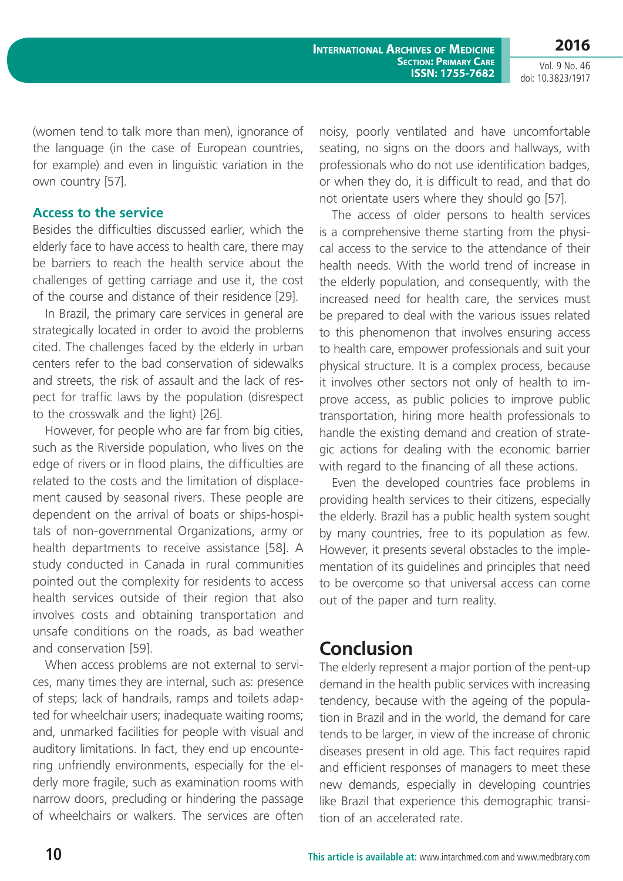(women tend to talk more than men), ignorance of the language (in the case of European countries, for example) and even in linguistic variation in the own country [57].

#### **Access to the service**

Besides the difficulties discussed earlier, which the elderly face to have access to health care, there may be barriers to reach the health service about the challenges of getting carriage and use it, the cost of the course and distance of their residence [29].

In Brazil, the primary care services in general are strategically located in order to avoid the problems cited. The challenges faced by the elderly in urban centers refer to the bad conservation of sidewalks and streets, the risk of assault and the lack of respect for traffic laws by the population (disrespect to the crosswalk and the light) [26].

However, for people who are far from big cities, such as the Riverside population, who lives on the edge of rivers or in flood plains, the difficulties are related to the costs and the limitation of displacement caused by seasonal rivers. These people are dependent on the arrival of boats or ships-hospitals of non-governmental Organizations, army or health departments to receive assistance [58]. A study conducted in Canada in rural communities pointed out the complexity for residents to access health services outside of their region that also involves costs and obtaining transportation and unsafe conditions on the roads, as bad weather and conservation [59].

When access problems are not external to services, many times they are internal, such as: presence of steps; lack of handrails, ramps and toilets adapted for wheelchair users; inadequate waiting rooms; and, unmarked facilities for people with visual and auditory limitations. In fact, they end up encountering unfriendly environments, especially for the elderly more fragile, such as examination rooms with narrow doors, precluding or hindering the passage of wheelchairs or walkers. The services are often noisy, poorly ventilated and have uncomfortable seating, no signs on the doors and hallways, with professionals who do not use identification badges, or when they do, it is difficult to read, and that do not orientate users where they should go [57].

The access of older persons to health services is a comprehensive theme starting from the physical access to the service to the attendance of their health needs. With the world trend of increase in the elderly population, and consequently, with the increased need for health care, the services must be prepared to deal with the various issues related to this phenomenon that involves ensuring access to health care, empower professionals and suit your physical structure. It is a complex process, because it involves other sectors not only of health to improve access, as public policies to improve public transportation, hiring more health professionals to handle the existing demand and creation of strategic actions for dealing with the economic barrier with regard to the financing of all these actions.

Even the developed countries face problems in providing health services to their citizens, especially the elderly. Brazil has a public health system sought by many countries, free to its population as few. However, it presents several obstacles to the implementation of its guidelines and principles that need to be overcome so that universal access can come out of the paper and turn reality.

# **Conclusion**

The elderly represent a major portion of the pent-up demand in the health public services with increasing tendency, because with the ageing of the population in Brazil and in the world, the demand for care tends to be larger, in view of the increase of chronic diseases present in old age. This fact requires rapid and efficient responses of managers to meet these new demands, especially in developing countries like Brazil that experience this demographic transition of an accelerated rate.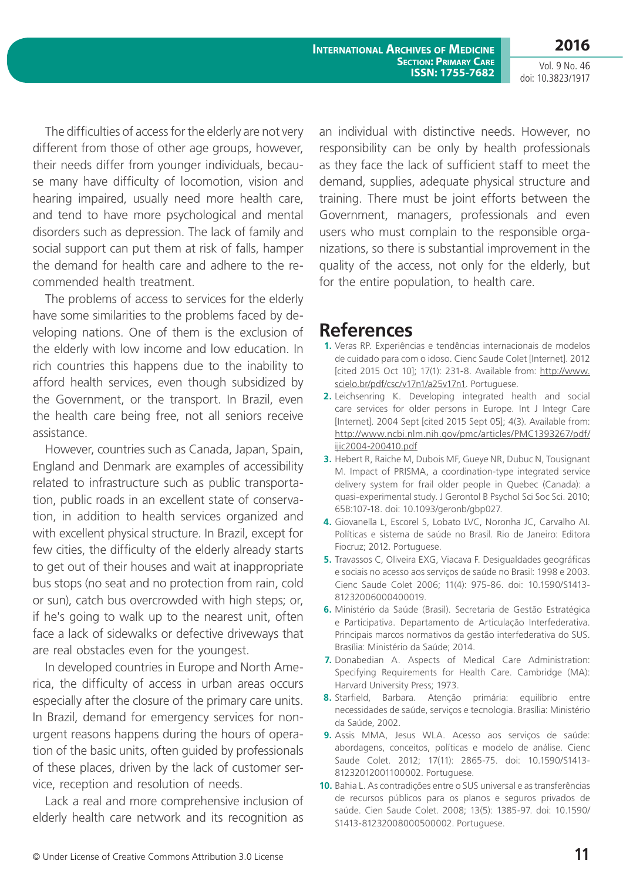**International Archives of Medicine Section: Primary Care ISSN: 1755-7682**

Vol. 9 No. 46 doi: 10.3823/1917

**2016**

The difficulties of access for the elderly are not very different from those of other age groups, however, their needs differ from younger individuals, because many have difficulty of locomotion, vision and hearing impaired, usually need more health care, and tend to have more psychological and mental disorders such as depression. The lack of family and social support can put them at risk of falls, hamper the demand for health care and adhere to the recommended health treatment.

The problems of access to services for the elderly have some similarities to the problems faced by developing nations. One of them is the exclusion of the elderly with low income and low education. In rich countries this happens due to the inability to afford health services, even though subsidized by the Government, or the transport. In Brazil, even the health care being free, not all seniors receive assistance.

However, countries such as Canada, Japan, Spain, England and Denmark are examples of accessibility related to infrastructure such as public transportation, public roads in an excellent state of conservation, in addition to health services organized and with excellent physical structure. In Brazil, except for few cities, the difficulty of the elderly already starts to get out of their houses and wait at inappropriate bus stops (no seat and no protection from rain, cold or sun), catch bus overcrowded with high steps; or, if he's going to walk up to the nearest unit, often face a lack of sidewalks or defective driveways that are real obstacles even for the youngest.

In developed countries in Europe and North America, the difficulty of access in urban areas occurs especially after the closure of the primary care units. In Brazil, demand for emergency services for nonurgent reasons happens during the hours of operation of the basic units, often guided by professionals of these places, driven by the lack of customer service, reception and resolution of needs.

Lack a real and more comprehensive inclusion of elderly health care network and its recognition as an individual with distinctive needs. However, no responsibility can be only by health professionals as they face the lack of sufficient staff to meet the demand, supplies, adequate physical structure and training. There must be joint efforts between the Government, managers, professionals and even users who must complain to the responsible organizations, so there is substantial improvement in the quality of the access, not only for the elderly, but for the entire population, to health care.

## **References**

- **1.** Veras RP. Experiências e tendências internacionais de modelos de cuidado para com o idoso. Cienc Saude Colet [Internet]. 2012 [cited 2015 Oct 10]; 17(1): 231-8. Available from: [http://www.](http://www.scielo.br/pdf/csc/v17n1/a25v17n1) [scielo.br/pdf/csc/v17n1/a25v17n1.](http://www.scielo.br/pdf/csc/v17n1/a25v17n1) Portuguese.
- **2.** Leichsenring K. Developing integrated health and social care services for older persons in Europe. Int J Integr Care [Internet]. 2004 Sept [cited 2015 Sept 05]; 4(3). Available from: [http://www.ncbi.nlm.nih.gov/pmc/articles/PMC1393267/pdf/](http://www.ncbi.nlm.nih.gov/pmc/articles/PMC1393267/pdf/ijic2004-200410.pdf) [ijic2004-200410.pdf](http://www.ncbi.nlm.nih.gov/pmc/articles/PMC1393267/pdf/ijic2004-200410.pdf)
- **3.** Hebert R, Raiche M, Dubois MF, Gueye NR, Dubuc N, Tousignant M. Impact of PRISMA, a coordination-type integrated service delivery system for frail older people in Quebec (Canada): a quasi-experimental study. J Gerontol B Psychol Sci Soc Sci. 2010; 65B:107-18. doi: 10.1093/geronb/gbp027.
- **4.** Giovanella L, Escorel S, Lobato LVC, Noronha JC, Carvalho AI. Políticas e sistema de saúde no Brasil. Rio de Janeiro: Editora Fiocruz; 2012. Portuguese.
- **5.** Travassos C, Oliveira EXG, Viacava F. Desigualdades geográficas e sociais no acesso aos serviços de saúde no Brasil: 1998 e 2003. Cienc Saude Colet 2006; 11(4): 975-86. doi: 10.1590/S1413- 81232006000400019.
- **6.** Ministério da Saúde (Brasil). Secretaria de Gestão Estratégica e Participativa. Departamento de Articulação Interfederativa. Principais marcos normativos da gestão interfederativa do SUS. Brasília: Ministério da Saúde; 2014.
- **7.** Donabedian A. Aspects of Medical Care Administration: Specifying Requirements for Health Care. Cambridge (MA): Harvard University Press; 1973.
- **8.** Starfield, Barbara. Atenção primária: equilíbrio entre necessidades de saúde, serviços e tecnologia. Brasília: Ministério da Saúde, 2002.
- **9.** Assis MMA, Jesus WLA. Acesso aos serviços de saúde: abordagens, conceitos, políticas e modelo de análise. Cienc Saude Colet. 2012; 17(11): 2865-75. doi: 10.1590/S1413- 81232012001100002. Portuguese.
- **10.** Bahia L. As contradições entre o SUS universal e as transferências de recursos públicos para os planos e seguros privados de saúde. Cien Saude Colet. 2008; 13(5): 1385-97. doi: 10.1590/ S1413-81232008000500002. Portuguese.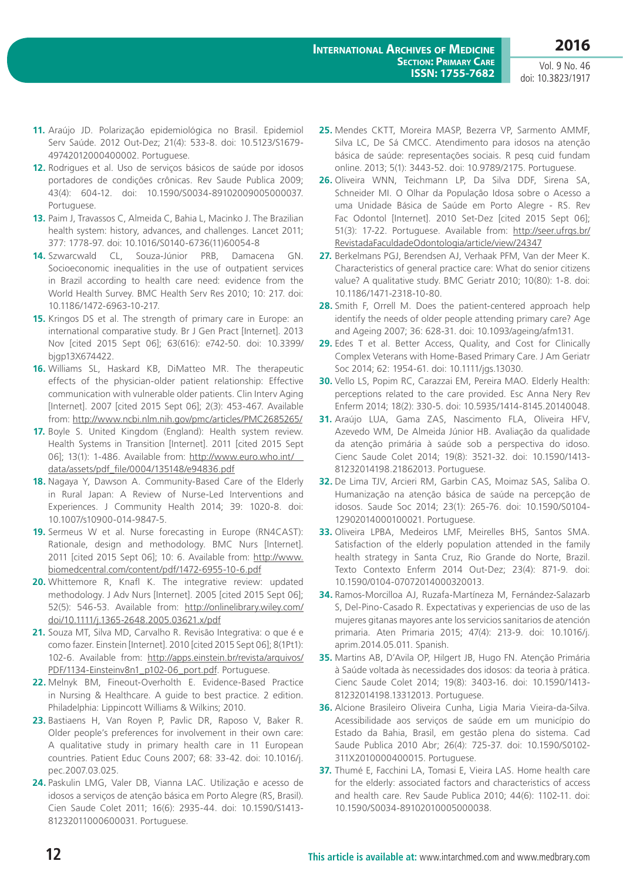- **11.** Araújo JD. Polarização epidemiológica no Brasil. Epidemiol Serv Saúde. 2012 Out-Dez; 21(4): 533-8. doi: 10.5123/S1679- 49742012000400002. Portuguese.
- **12.** Rodrigues et al. Uso de serviços básicos de saúde por idosos portadores de condições crônicas. Rev Saude Publica 2009; 43(4): 604-12. doi: 10.1590/S0034-89102009005000037. Portuguese.
- **13.** Paim J, Travassos C, Almeida C, Bahia L, Macinko J. The Brazilian health system: history, advances, and challenges. Lancet 2011; 377: 1778-97. doi: 10.1016/S0140-6736(11)60054-8
- **14.** Szwarcwald CL, Souza-Júnior PRB, Damacena GN. Socioeconomic inequalities in the use of outpatient services in Brazil according to health care need: evidence from the World Health Survey. BMC Health Serv Res 2010; 10: 217. doi: 10.1186/1472-6963-10-217.
- **15.** Kringos DS et al. The strength of primary care in Europe: an international comparative study. Br J Gen Pract [Internet]. 2013 Nov [cited 2015 Sept 06]; 63(616): e742-50. doi: 10.3399/ bjgp13X674422.
- **16.** Williams SL, Haskard KB, DiMatteo MR. The therapeutic effects of the physician-older patient relationship: Effective communication with vulnerable older patients. Clin Interv Aging [Internet]. 2007 [cited 2015 Sept 06]; 2(3): 453-467. Available from:<http://www.ncbi.nlm.nih.gov/pmc/articles/PMC2685265/>
- **17.** Boyle S. United Kingdom (England): Health system review. Health Systems in Transition [Internet]. 2011 [cited 2015 Sept 06]; 13(1): 1-486. Available from: [http://www.euro.who.int/\\_\\_](http://www.euro.who.int/__data/assets/pdf_file/0004/135148/e94836.pdf) [data/assets/pdf\\_file/0004/135148/e94836.pdf](http://www.euro.who.int/__data/assets/pdf_file/0004/135148/e94836.pdf)
- **18.** Nagaya Y, Dawson A. Community-Based Care of the Elderly in Rural Japan: A Review of Nurse-Led Interventions and Experiences. J Community Health 2014; 39: 1020-8. doi: 10.1007/s10900-014-9847-5.
- **19.** Sermeus W et al. Nurse forecasting in Europe (RN4CAST): Rationale, design and methodology. BMC Nurs [Internet]. 2011 [cited 2015 Sept 06]; 10: 6. Available from: [http://www.](http://www.biomedcentral.com/content/pdf/1472-6955-10-6.pdf) [biomedcentral.com/content/pdf/1472-6955-10-6.pdf](http://www.biomedcentral.com/content/pdf/1472-6955-10-6.pdf)
- **20.** Whittemore R, Knafl K. The integrative review: updated methodology. J Adv Nurs [Internet]. 2005 [cited 2015 Sept 06]; 52(5): 546-53. Available from: [http://onlinelibrary.wiley.com/](http://onlinelibrary.wiley.com/doi/10.1111/j.1365-2648.2005.03621.x/pdf) [doi/10.1111/j.1365-2648.2005.03621.x/pdf](http://onlinelibrary.wiley.com/doi/10.1111/j.1365-2648.2005.03621.x/pdf)
- **21.** Souza MT, Silva MD, Carvalho R. Revisão Integrativa: o que é e como fazer. Einstein [Internet]. 2010 [cited 2015 Sept 06]; 8(1Pt1): 102-6. Available from: [http://apps.einstein.br/revista/arquivos/](http://apps.einstein.br/revista/arquivos/PDF/1134-Einsteinv8n1_p102-06_port.pdf) [PDF/1134-Einsteinv8n1\\_p102-06\\_port.pdf](http://apps.einstein.br/revista/arquivos/PDF/1134-Einsteinv8n1_p102-06_port.pdf). Portuguese.
- **22.** Melnyk BM, Fineout-Overholth E. Evidence-Based Practice in Nursing & Healthcare. A guide to best practice. 2 edition. Philadelphia: Lippincott Williams & Wilkins; 2010.
- **23.** Bastiaens H, Van Royen P, Pavlic DR, Raposo V, Baker R. Older people's preferences for involvement in their own care: A qualitative study in primary health care in 11 European countries. Patient Educ Couns 2007; 68: 33-42. doi: 10.1016/j. pec.2007.03.025.
- **24.** Paskulin LMG, Valer DB, Vianna LAC. Utilização e acesso de idosos a serviços de atenção básica em Porto Alegre (RS, Brasil). Cien Saude Colet 2011; 16(6): 2935-44. doi: 10.1590/S1413- 81232011000600031. Portuguese.
- **25.** Mendes CKTT, Moreira MASP, Bezerra VP, Sarmento AMMF, Silva LC, De Sá CMCC. Atendimento para idosos na atenção básica de saúde: representações sociais. R pesq cuid fundam online. 2013; 5(1): 3443-52. doi: 10.9789/2175. Portuguese.
- **26.** Oliveira WNN, Teichmann LP, Da Silva DDF, Sirena SA, Schneider MI. O Olhar da População Idosa sobre o Acesso a uma Unidade Básica de Saúde em Porto Alegre - RS. Rev Fac Odontol [Internet]. 2010 Set-Dez [cited 2015 Sept 06]; 51(3): 17-22. Portuguese. Available from: [http://seer.ufrgs.br/](http://seer.ufrgs.br/RevistadaFaculdadeOdontologia/article/view/24347) [RevistadaFaculdadeOdontologia/article/view/24347](http://seer.ufrgs.br/RevistadaFaculdadeOdontologia/article/view/24347)
- **27.** Berkelmans PGJ, Berendsen AJ, Verhaak PFM, Van der Meer K. Characteristics of general practice care: What do senior citizens value? A qualitative study. BMC Geriatr 2010; 10(80): 1-8. doi: 10.1186/1471-2318-10-80.
- **28.** Smith F, Orrell M. Does the patient-centered approach help identify the needs of older people attending primary care? Age and Ageing 2007; 36: 628-31. doi: 10.1093/ageing/afm131.
- **29.** Edes T et al. Better Access, Quality, and Cost for Clinically Complex Veterans with Home-Based Primary Care. J Am Geriatr Soc 2014; 62: 1954-61. doi: 10.1111/jgs.13030.
- **30.** Vello LS, Popim RC, Carazzai EM, Pereira MAO. Elderly Health: perceptions related to the care provided. Esc Anna Nery Rev Enferm 2014; 18(2): 330-5. doi: 10.5935/1414-8145.20140048.
- **31.** Araújo LUA, Gama ZAS, Nascimento FLA, Oliveira HFV, Azevedo WM, De Almeida Júnior HB. Avaliação da qualidade da atenção primária à saúde sob a perspectiva do idoso. Cienc Saude Colet 2014; 19(8): 3521-32. doi: 10.1590/1413- 81232014198.21862013. Portuguese.
- **32.** De Lima TJV, Arcieri RM, Garbin CAS, Moimaz SAS, Saliba O. Humanização na atenção básica de saúde na percepção de idosos. Saude Soc 2014; 23(1): 265-76. doi: 10.1590/S0104- 12902014000100021. Portuguese.
- **33.** Oliveira LPBA, Medeiros LMF, Meirelles BHS, Santos SMA. Satisfaction of the elderly population attended in the family health strategy in Santa Cruz, Rio Grande do Norte, Brazil. Texto Contexto Enferm 2014 Out-Dez; 23(4): 871-9. doi: 10.1590/0104-07072014000320013.
- **34.** Ramos-Morcilloa AJ, Ruzafa-Martíneza M, Fernández-Salazarb S, Del-Pino-Casado R. Expectativas y experiencias de uso de las mujeres gitanas mayores ante los servicios sanitarios de atención primaria. Aten Primaria 2015; 47(4): 213-9. doi: 10.1016/j. aprim.2014.05.011. Spanish.
- **35.** Martins AB, D'Avila OP, Hilgert JB, Hugo FN. Atenção Primária à Saúde voltada às necessidades dos idosos: da teoria à prática. Cienc Saude Colet 2014; 19(8): 3403-16. doi: 10.1590/1413- 81232014198.13312013. Portuguese.
- **36.** Alcione Brasileiro Oliveira Cunha, Ligia Maria Vieira-da-Silva. Acessibilidade aos serviços de saúde em um município do Estado da Bahia, Brasil, em gestão plena do sistema. Cad Saude Publica 2010 Abr; 26(4): 725-37. doi: 10.1590/S0102- 311X2010000400015. Portuguese.
- **37.** Thumé E, Facchini LA, Tomasi E, Vieira LAS. Home health care for the elderly: associated factors and characteristics of access and health care. Rev Saude Publica 2010; 44(6): 1102-11. doi: 10.1590/S0034-89102010005000038.